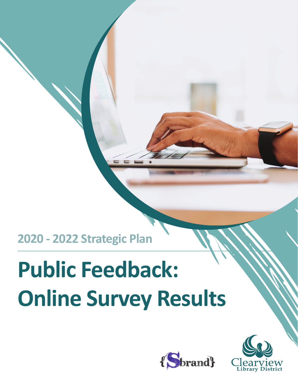**2020 - 2022 Strategic Plan**

# **Public Feedback: Online Survey Results**



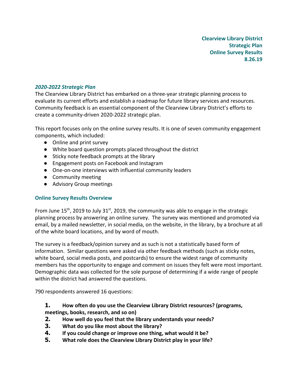#### 2020-2022 Strategic Plan

The Clearview Library District has embarked on a three-year strategic planning process to evaluate its current efforts and establish a roadmap for future library services and resources. Community feedback is an essential component of the Clearview Library District's efforts to create a community-driven 2020-2022 strategic plan.

This report focuses only on the online survey results. It is one of seven community engagement components, which included:

- Online and print survey
- White board question prompts placed throughout the district
- Sticky note feedback prompts at the library
- Engagement posts on Facebook and Instagram
- One-on-one interviews with influential community leaders
- Community meeting
- Advisory Group meetings

#### Online Survey Results Overview

From June 15<sup>th</sup>, 2019 to July 31<sup>st</sup>, 2019, the community was able to engage in the strategic planning process by answering an online survey. The survey was mentioned and promoted via email, by a mailed newsletter, in social media, on the website, in the library, by a brochure at all of the white board locations, and by word of mouth.

The survey is a feedback/opinion survey and as such is not a statistically based form of information. Similar questions were asked via other feedback methods (such as sticky notes, white board, social media posts, and postcards) to ensure the widest range of community members has the opportunity to engage and comment on issues they felt were most important. Demographic data was collected for the sole purpose of determining if a wide range of people within the district had answered the questions.

790 respondents answered 16 questions:

1. How often do you use the Clearview Library District resources? (programs, meetings, books, research, and so on)

- 2. How well do you feel that the library understands your needs?
- 3. What do you like most about the library?
- 4. If you could change or improve one thing, what would it be?
- 5. What role does the Clearview Library District play in your life?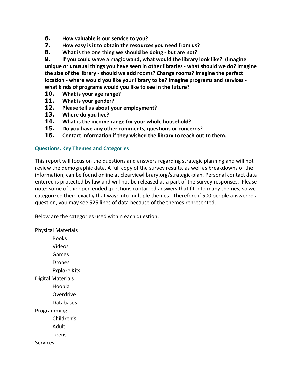- 6. How valuable is our service to you?
- 7. How easy is it to obtain the resources you need from us?
- 8. What is the one thing we should be doing but are not?

9. If you could wave a magic wand, what would the library look like? (Imagine unique or unusual things you have seen in other libraries - what should we do? Imagine the size of the library - should we add rooms? Change rooms? Imagine the perfect location - where would you like your library to be? Imagine programs and services what kinds of programs would you like to see in the future?

- 10. What is your age range?
- 11. What is your gender?
- 12. Please tell us about your employment?
- 13. Where do you live?
- 14. What is the income range for your whole household?
- 15. Do you have any other comments, questions or concerns?
- 16. Contact information if they wished the library to reach out to them.

#### Questions, Key Themes and Categories

This report will focus on the questions and answers regarding strategic planning and will not review the demographic data. A full copy of the survey results, as well as breakdowns of the information, can be found online at clearviewlibrary.org/strategic-plan. Personal contact data entered is protected by law and will not be released as a part of the survey responses. Please note: some of the open ended questions contained answers that fit into many themes, so we categorized them exactly that way: into multiple themes. Therefore if 500 people answered a question, you may see 525 lines of data because of the themes represented.

Below are the categories used within each question.

Physical Materials Books Videos Games Drones Explore Kits Digital Materials Hoopla **Overdrive** Databases Programming Children's Adult Teens Services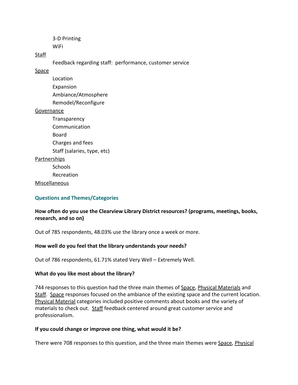3-D Printing **WiFi** 

#### **Staff**

Feedback regarding staff: performance, customer service

#### Space

Location Expansion Ambiance/Atmosphere Remodel/Reconfigure

#### Governance

**Transparency Communication** Board Charges and fees Staff (salaries, type, etc)

## Partnerships

**Schools** 

Recreation

Miscellaneous

#### Questions and Themes/Categories

## How often do you use the Clearview Library District resources? (programs, meetings, books, research, and so on)

Out of 785 respondents, 48.03% use the library once a week or more.

#### How well do you feel that the library understands your needs?

Out of 786 respondents, 61.71% stated Very Well – Extremely Well.

#### What do you like most about the library?

744 responses to this question had the three main themes of Space, Physical Materials and Staff. Space responses focused on the ambiance of the existing space and the current location. Physical Material categories included positive comments about books and the variety of materials to check out. Staff feedback centered around great customer service and professionalism.

#### If you could change or improve one thing, what would it be?

There were 708 responses to this question, and the three main themes were Space, Physical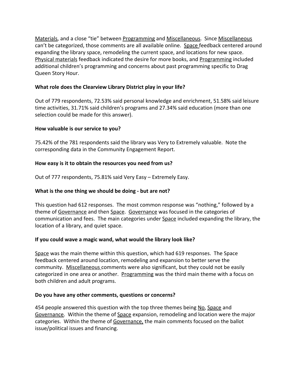Materials, and a close "tie" between Programming and Miscellaneous. Since Miscellaneous can't be categorized, those comments are all available online. Space feedback centered around expanding the library space, remodeling the current space, and locations for new space. Physical materials feedback indicated the desire for more books, and Programming included additional children's programming and concerns about past programming specific to Drag Queen Story Hour.

## What role does the Clearview Library District play in your life?

Out of 779 respondents, 72.53% said personal knowledge and enrichment, 51.58% said leisure time activities, 31.71% said children's programs and 27.34% said education (more than one selection could be made for this answer).

# How valuable is our service to you?

75.42% of the 781 respondents said the library was Very to Extremely valuable. Note the corresponding data in the Community Engagement Report.

# How easy is it to obtain the resources you need from us?

Out of 777 respondents, 75.81% said Very Easy – Extremely Easy.

# What is the one thing we should be doing - but are not?

This question had 612 responses. The most common response was "nothing," followed by a theme of Governance and then Space. Governance was focused in the categories of communication and fees. The main categories under Space included expanding the library, the location of a library, and quiet space.

# If you could wave a magic wand, what would the library look like?

Space was the main theme within this question, which had 619 responses. The Space feedback centered around location, remodeling and expansion to better serve the community. Miscellaneous comments were also significant, but they could not be easily categorized in one area or another. Programming was the third main theme with a focus on both children and adult programs.

## Do you have any other comments, questions or concerns?

454 people answered this question with the top three themes being No, Space and Governance. Within the theme of Space expansion, remodeling and location were the major categories. Within the theme of Governance, the main comments focused on the ballot issue/political issues and financing.